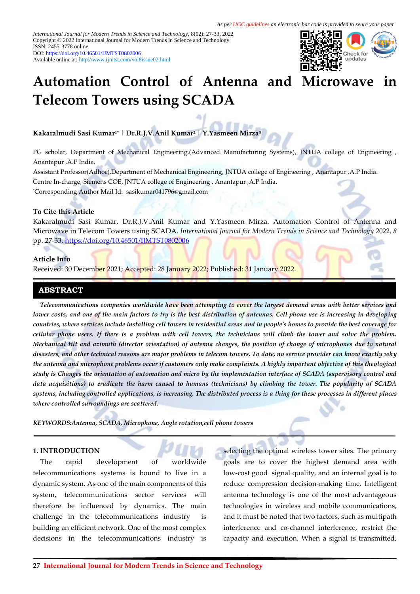*International Journal for Modern Trends in Science and Technology,* 8(02): 27-33, 2022 Copyright © 2022 International Journal for Modern Trends in Science and Technology ISSN: 2455-3778 online DOI[: https://doi.org/10.46501/IJMTST0802006](https://doi.org/10.46501/IJMTST0802006)

Available online at:<http://www.ijmtst.com/vol8issue02.html>



# **Automation Control of Antenna and Microwave Telecom Towers using SCADA**

**Kakaralmudi Sasi Kumar1\* | Dr.R.J.V.Anil Kumar<sup>2</sup> | Y.Yasmeen Mirza<sup>3</sup>**

PG scholar, Department of Mechanical Engineering,(Advanced Manufacturing Systems), JNTUA college of Engineering , Anantapur ,A.P India.

Assistant Professor(Adhoc),Department of Mechanical Engineering, JNTUA college of Engineering , Anantapur ,A.P India. Centre In-charge, Siemens COE, JNTUA college of Engineering , Anantapur ,A.P India. \*Corresponding Author Mail Id: sasikumar041796@gmail.com

#### **To Cite this Article**

Kakaralmudi Sasi Kumar, Dr.R.J.V.Anil Kumar and Y.Yasmeen Mirza. Automation Control of Antenna and Microwave in Telecom Towers using SCADA. *International Journal for Modern Trends in Science and Technology* 2022, *8* pp. 27-33. <https://doi.org/10.46501/IJMTST0802006>

# **Article Info**

Received: 30 December 2021; Accepted: 28 January 2022; Published: 31 January 2022.

# **ABSTRACT**

*Telecommunications companies worldwide have been attempting to cover the largest demand areas with better services and lower costs, and one of the main factors to try is the best distribution of antennas. Cell phone use is increasing in developing countries, where services include installing cell towers in residential areas and in people's homes to provide the best coverage for cellular phone users. If there is a problem with cell towers, the technicians will climb the tower and solve the problem. Mechanical tilt and azimuth (director orientation) of antenna changes, the position of change of microphones due to natural disasters, and other technical reasons are major problems in telecom towers. To date, no service provider can know exactly why the antenna and microphone problems occur if customers only make complaints. A highly important objective of this theological study is Changes the orientation of automation and micro by the implementation interface of SCADA (supervisory control and data acquisitions) to eradicate the harm caused to humans (technicians) by climbing the tower. The popularity of SCADA systems, including controlled applications, is increasing. The distributed process is a thing for these processes in different places where controlled surroundings are scattered.*

*KEYWORDS:Antenna, SCADA, Microphone, Angle rotation,cell phone towers*

# **1. INTRODUCTION**

The rapid development of worldwide telecommunications systems is bound to live in a dynamic system. As one of the main components of this system, telecommunications sector services will therefore be influenced by dynamics. The main challenge in the telecommunications industry building an efficient network. One of the most complex decisions in the telecommunications industry is

selecting the optimal wireless tower sites. The primary goals are to cover the highest demand area with low-cost good signal quality, and an internal goal is to reduce compression decision-making time. Intelligent antenna technology is one of the most advantageous technologies in wireless and mobile communications, and it must be noted that two factors, such as multipath interference and co-channel interference, restrict the capacity and execution. When a signal is transmitted,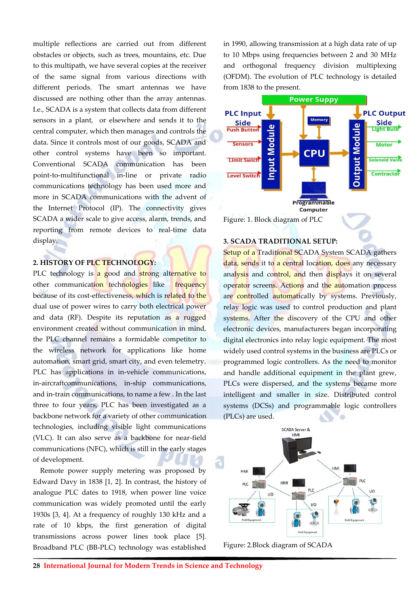multiple reflections are carried out from different obstacles or objects, such as trees, mountains, etc. Due to this multipath, we have several copies at the receiver of the same signal from various directions with different periods. The smart antennas we have discussed are nothing other than the array antennas. I.e., SCADA is a system that collects data from different sensors in a plant, or elsewhere and sends it to the central computer, which then manages and controls the data. Since it controls most of our goods, SCADA and other control systems have been so important. Conventional SCADA communication has been point-to-multifunctional in-line or private radio communications technology has been used more and more in SCADA communications with the advent of the Internet Protocol (IP). The connectivity gives SCADA a wider scale to give access, alarm, trends, and reporting from remote devices to real-time data display.

# **2. HISTORY OF PLC TECHNOLOGY:**

PLC technology is a good and strong alternative to other communication technologies like frequency because of its cost-effectiveness, which is related to the dual use of power wires to carry both electrical power and data (RF). Despite its reputation as a rugged environment created without communication in mind, the PLC channel remains a formidable competitor to the wireless network for applications like home automation, smart grid, smart city, and even telemetry. PLC has applications in in-vehicle communications, in-aircraftcommunications, in-ship communications, and in-train communications, to name a few . In the last three to four years, PLC has been investigated as a backbone network for a variety of other communication technologies, including visible light communications (VLC). It can also serve as a backbone for near-field communications (NFC), which is still in the early stages of development.

Remote power supply metering was proposed by Edward Davy in 1838 [1, 2]. In contrast, the history of analogue PLC dates to 1918, when power line voice communication was widely promoted until the early 1930s [3, 4]. At a frequency of roughly 130 kHz and a rate of 10 kbps, the first generation of digital transmissions across power lines took place [5]. Broadband PLC (BB-PLC) technology was established in 1990, allowing transmission at a high data rate of up to 10 Mbps using frequencies between 2 and 30 MHz and orthogonal frequency division multiplexing (OFDM). The evolution of PLC technology is detailed from 1838 to the present.



#### **3. SCADA TRADITIONAL SETUP:**

Setup of a Traditional SCADA System SCADA gathers data, sends it to a central location, does any necessary analysis and control, and then displays it on several operator screens. Actions and the automation process are controlled automatically by systems. Previously, relay logic was used to control production and plant systems. After the discovery of the CPU and other electronic devices, manufacturers began incorporating digital electronics into relay logic equipment. The most widely used control systems in the business are PLCs or programmed logic controllers. As the need to monitor and handle additional equipment in the plant grew, PLCs were dispersed, and the systems became more intelligent and smaller in size. Distributed control systems (DCSs) and programmable logic controllers (PLCs) are used.



Figure: 2.Block diagram of SCADA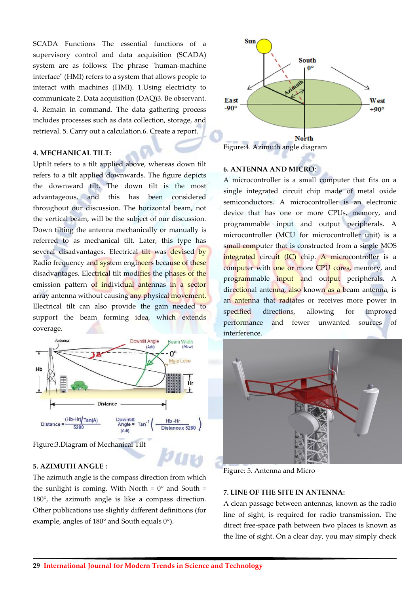SCADA Functions The essential functions of a supervisory control and data acquisition (SCADA) system are as follows: The phrase "human-machine interface" (HMI) refers to a system that allows people to interact with machines (HMI). 1.Using electricity to communicate 2. Data acquisition (DAQ)3. Be observant. 4. Remain in command. The data gathering process includes processes such as data collection, storage, and retrieval. 5. Carry out a calculation.6. Create a report.

# **4. MECHANICAL TILT:**

Uptilt refers to a tilt applied above, whereas down tilt refers to a tilt applied downwards. The figure depicts the downward tilt. The down tilt is the most advantageous, and this has been considered throughout our discussion. The horizontal beam, not the vertical beam, will be the subject of our discussion. Down tilting the antenna mechanically or manually is referred to as mechanical tilt. Later, this type has several disadvantages. Electrical tilt was devised by Radio frequency and system engineers because of these disadvantages. Electrical tilt modifies the phases of the emission pattern of individual antennas in a sector array antenna without causing any physical movement. Electrical tilt can also provide the gain needed to support the beam forming idea, which extends coverage.



Figure:3.Diagram of Mechanical Tilt

# **5. AZIMUTH ANGLE :**

The azimuth angle is the compass direction from which the sunlight is coming. With North =  $0^{\circ}$  and South = 180°, the azimuth angle is like a compass direction. Other publications use slightly different definitions (for example, angles of 180° and South equals 0°).



# **6. ANTENNA AND MICRO**:

A microcontroller is a small computer that fits on a single integrated circuit chip made of metal oxide semiconductors. A microcontroller is an electronic device that has one or more CPUs, memory, and programmable input and output peripherals. A microcontroller (MCU for microcontroller unit) is a small computer that is constructed from a single MOS integrated circuit (IC) chip. A microcontroller is a computer with one or more CPU cores, memory, and programmable input and output peripherals. A directional antenna, also known as a beam antenna, is an antenna that radiates or receives more power in specified directions, allowing for improved performance and fewer unwanted sources of interference.



Figure: 5. Antenna and Micro

# **7. LINE OF THE SITE IN ANTENNA:**

A clean passage between antennas, known as the radio line of sight, is required for radio transmission. The direct free-space path between two places is known as the line of sight. On a clear day, you may simply check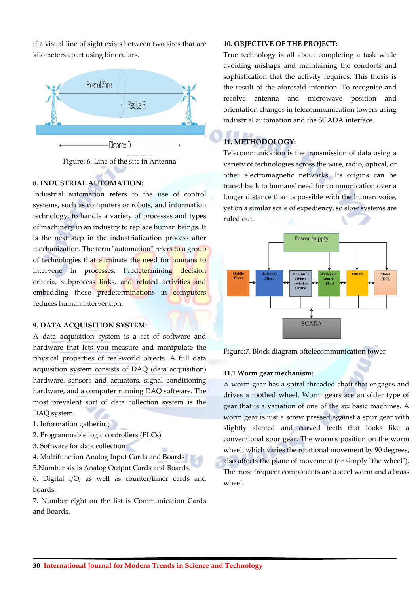if a visual line of sight exists between two sites that are kilometers apart using binoculars.



Figure: 6. Line of the site in Antenna

# **8. INDUSTRIAL AUTOMATION:**

Industrial automation refers to the use of control systems, such as computers or robots, and information technology, to handle a variety of processes and types of machinery in an industry to replace human beings. It is the next step in the industrialization process after mechanization. The term "automation" refers to a group of technologies that eliminate the need for humans to intervene in processes. Predetermining decision criteria, subprocess links, and related activities and embedding those predeterminations in computers reduces human intervention.

# **9. DATA ACQUISITION SYSTEM:**

A data acquisition system is a set of software and hardware that lets you measure and manipulate the physical properties of real-world objects. A full data acquisition system consists of DAQ (data acquisition) hardware, sensors and actuators, signal conditioning hardware, and a computer running DAQ software. The most prevalent sort of data collection system is the DAQ system.

- 1. Information gathering
- 2. Programmable logic controllers (PLCs)
- 3. Software for data collection
- 4. Multifunction Analog Input Cards and Boards
- 5.Number six is Analog Output Cards and Boards.

6. Digital I/O, as well as counter/timer cards and boards.

7. Number eight on the list is Communication Cards and Boards.

# **10. OBJECTIVE OF THE PROJECT:**

True technology is all about completing a task while avoiding mishaps and maintaining the comforts and sophistication that the activity requires. This thesis is the result of the aforesaid intention. To recognise and resolve antenna and microwave position and orientation changes in telecommunication towers using industrial automation and the SCADA interface.

# **11. METHODOLOGY:**

Telecommunication is the transmission of data using a variety of technologies across the wire, radio, optical, or other electromagnetic networks. Its origins can be traced back to humans' need for communication over a longer distance than is possible with the human voice, yet on a similar scale of expediency, so slow systems are ruled out.



Figure:7. Block diagram oftelecommunication tower

# **11.1 Worm gear mechanism:**

A worm gear has a spiral threaded shaft that engages and drives a toothed wheel. Worm gears are an older type of gear that is a variation of one of the six basic machines. A worm gear is just a screw pressed against a spur gear with slightly slanted and curved teeth that looks like a conventional spur gear. The worm's position on the worm wheel, which varies the rotational movement by 90 degrees, also affects the plane of movement (or simply "the wheel"). The most frequent components are a steel worm and a brass wheel.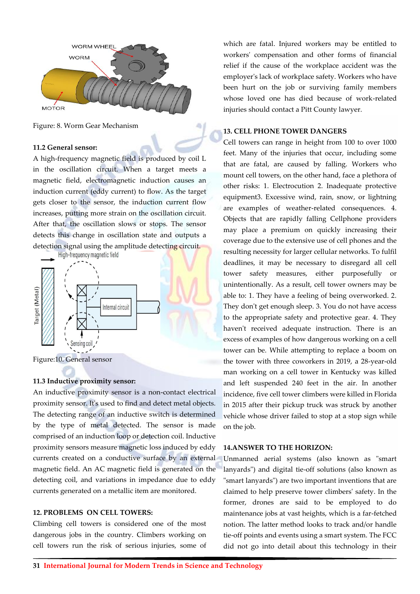

Figure: 8. Worm Gear Mechanism

#### **11.2 General sensor:**

A high-frequency magnetic field is produced by coil L in the oscillation circuit. When a target meets a magnetic field, electromagnetic induction causes an induction current (eddy current) to flow. As the target gets closer to the sensor, the induction current flow increases, putting more strain on the oscillation circuit. After that, the oscillation slows or stops. The sensor detects this change in oscillation state and outputs a detection signal using the amplitude detecting circuit.



Figure:10. General sensor

#### **11.3 Inductive proximity sensor:**

An inductive proximity sensor is a non-contact electrical proximity sensor. It's used to find and detect metal objects. The detecting range of an inductive switch is determined by the type of metal detected. The sensor is made comprised of an induction loop or detection coil. Inductive proximity sensors measure magnetic loss induced by eddy currents created on a conductive surface by an external magnetic field. An AC magnetic field is generated on the detecting coil, and variations in impedance due to eddy currents generated on a metallic item are monitored.

#### **12. PROBLEMS ON CELL TOWERS:**

Climbing cell towers is considered one of the most dangerous jobs in the country. Climbers working on cell towers run the risk of serious injuries, some of

which are fatal. Injured workers may be entitled to workers' compensation and other forms of financial relief if the cause of the workplace accident was the employer's lack of workplace safety. Workers who have been hurt on the job or surviving family members whose loved one has died because of work-related injuries should contact a Pitt County lawyer.

#### **13. CELL PHONE TOWER DANGERS**

Cell towers can range in height from 100 to over 1000 feet. Many of the injuries that occur, including some that are fatal, are caused by falling. Workers who mount cell towers, on the other hand, face a plethora of other risks: 1. Electrocution 2. Inadequate protective equipment3. Excessive wind, rain, snow, or lightning are examples of weather-related consequences. 4. Objects that are rapidly falling Cellphone providers may place a premium on quickly increasing their coverage due to the extensive use of cell phones and the resulting necessity for larger cellular networks. To fulfil deadlines, it may be necessary to disregard all cell tower safety measures, either purposefully or unintentionally. As a result, cell tower owners may be able to: 1. They have a feeling of being overworked. 2. They don't get enough sleep. 3. You do not have access to the appropriate safety and protective gear. 4. They haven't received adequate instruction. There is an excess of examples of how dangerous working on a cell tower can be. While attempting to replace a boom on the tower with three coworkers in 2019, a 28-year-old man working on a cell tower in Kentucky was killed and left suspended 240 feet in the air. In another incidence, five cell tower climbers were killed in Florida in 2015 after their pickup truck was struck by another vehicle whose driver failed to stop at a stop sign while on the job.

#### **14.ANSWER TO THE HORIZON:**

Unmanned aerial systems (also known as "smart lanyards") and digital tie-off solutions (also known as "smart lanyards") are two important inventions that are claimed to help preserve tower climbers' safety. In the former, drones are said to be employed to do maintenance jobs at vast heights, which is a far-fetched notion. The latter method looks to track and/or handle tie-off points and events using a smart system. The FCC did not go into detail about this technology in their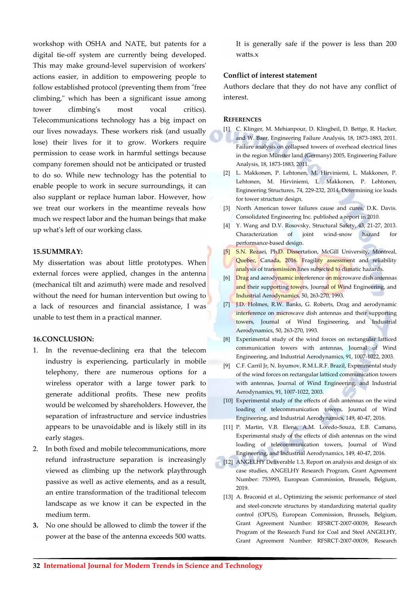workshop with OSHA and NATE, but patents for a digital tie-off system are currently being developed. This may make ground-level supervision of workers' actions easier, in addition to empowering people to follow established protocol (preventing them from "free climbing," which has been a significant issue among tower climbing's most vocal critics). Telecommunications technology has a big impact on our lives nowadays. These workers risk (and usually lose) their lives for it to grow. Workers require permission to cease work in harmful settings because company foremen should not be anticipated or trusted to do so. While new technology has the potential to enable people to work in secure surroundings, it can also supplant or replace human labor. However, how we treat our workers in the meantime reveals how much we respect labor and the human beings that make up what's left of our working class.

# **15.SUMMRAY:**

My dissertation was about little prototypes. When external forces were applied, changes in the antenna (mechanical tilt and azimuth) were made and resolved without the need for human intervention but owing to a lack of resources and financial assistance, I was unable to test them in a practical manner.

# **16.CONCLUSION:**

- 1. In the revenue-declining era that the telecom industry is experiencing, particularly in mobile telephony, there are numerous options for a wireless operator with a large tower park to generate additional profits. These new profits would be welcomed by shareholders. However, the separation of infrastructure and service industries appears to be unavoidable and is likely still in its early stages.
- 2. In both fixed and mobile telecommunications, more refund infrastructure separation is increasingly viewed as climbing up the network playthrough passive as well as active elements, and as a result, an entire transformation of the traditional telecom landscape as we know it can be expected in the medium term.
- **3.** No one should be allowed to climb the tower if the power at the base of the antenna exceeds 500 watts.

It is generally safe if the power is less than 200 watts.x

# **Conflict of interest statement**

Authors declare that they do not have any conflict of interest.

#### **REFERENCES**

- [1] C. Klinger, M. Mehianpour, D. Klingbeil, D. Bettge, R. Hacker, and W. Baer, Engineering Failure Analysis, 18, 1873-1883, 2011. Failure analysis on collapsed towers of overhead electrical lines in the region Münster land (Germany) 2005, Engineering Failure Analysis, 18, 1873-1883, 2011.
- [2] L. Makkonen, P. Lehtonen, M. Hirviniemi, L. Makkonen, P. Lehtonen, M. Hirviniemi, L. Makkonen, P. Lehtonen, Engineering Structures, 74, 229-232, 2014. Determining ice loads for tower structure design.
- [3] North American tower failures cause and cures, D.K. Davis. Consolidated Engineering Inc. published a report in 2010.
- [4] Y. Wang and D.V. Rosovsky, Structural Safety, 43, 21-27, 2013. Characterization of joint wind-snow hazard for performance-based design.
- [5] S.N. Rezaei, Ph.D. Dissertation, McGill University, Montreal, Quebec, Canada, 2016. Fragility assessment and reliability analysis of transmission lines subjected to climatic hazards.
- [6] Drag and aerodynamic interference on microwave dish antennas and their supporting towers, Journal of Wind Engineering, and Industrial Aerodynamics, 50, 263-270, 1993.
- [7] J.D. Holmes, R.W. Banks, G. Roberts, Drag and aerodynamic interference on microwave dish antennas and their supporting towers, Journal of Wind Engineering, and Industrial Aerodynamics, 50, 263-270, 1993.
- [8] Experimental study of the wind forces on rectangular latticed communication towers with antennas, Journal of Wind Engineering, and Industrial Aerodynamics, 91, 1007-1022, 2003.
- [9] C.F. Carril Jr, N. Isyumov, R.M.L.R.F. Brazil, Experimental study of the wind forces on rectangular latticed communication towers with antennas, Journal of Wind Engineering, and Industrial Aerodynamics, 91, 1007-1022, 2003.
- [10] Experimental study of the effects of dish antennas on the wind loading of telecommunication towers, Journal of Wind Engineering, and Industrial Aerodynamics, 149, 40-47, 2016.
- [11] P. Martin, V.B. Elena, A.M. Loredo-Souza, E.B. Camano, Experimental study of the effects of dish antennas on the wind loading of telecommunication towers, Journal of Wind Engineering, and Industrial Aerodynamics, 149, 40-47, 2016.
- [12] ANGELHY Deliverable 1.3, Report on analysis and design of six case studies, ANGELHY Research Program, Grant Agreement Number: 753993, European Commission, Brussels, Belgium, 2019.
- [13] A. Braconid et al., Optimizing the seismic performance of steel and steel-concrete structures by standardizing material quality control (OPUS), European Commission, Brussels, Belgium, Grant Agreement Number: RFSRCT-2007-00039, Research Program of the Research Fund for Coal and Steel ANGELHY, Grant Agreement Number: RFSRCT-2007-00039, Research